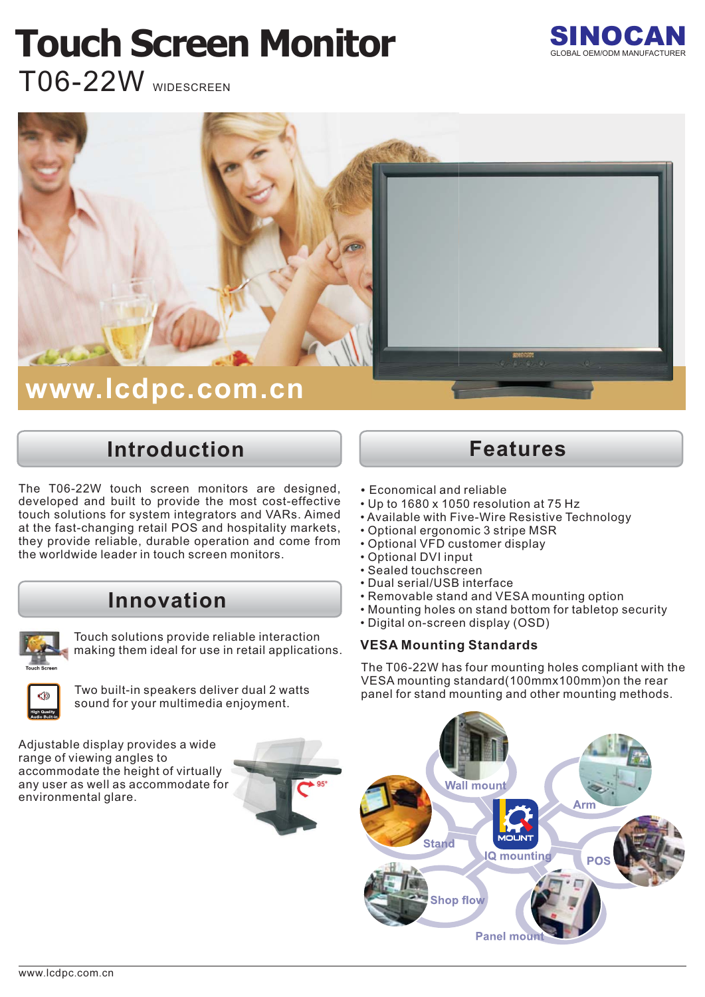# **Touch Screen Monitor**



T06-22W WIDESCREEN



### **Introduction**

The T06-22W touch screen monitors are designed, developed and built to provide the most cost-effective touch solutions for system integrators and VARs. Aimed at the fast-changing retail POS and hospitality markets, they provide reliable, durable operation and come from the worldwide leader in touch screen monitors.

#### **Innovation**



Touch solutions provide reliable interaction making them ideal for use in retail applications.



sound for your multimedia enjoyment.

Adjustable display provides a wide range of viewing angles to accommodate the height of virtually any user as well as accommodate for environmental glare.



#### **Features**

- Economical and reliable
- Up to 1680 x 1050 resolution at 75 Hz
- Available with Five-Wire Resistive Technology
- Optional ergonomic 3 stripe MSR
- Optional VFD customer display
- Optional DVI input
- Sealed touchscreen
- Dual serial/USB interface
- Removable stand and VESA mounting option
- Mounting holes on stand bottom for tabletop security
- Digital on-screen display (OSD)

#### **VESA Mounting Standards**

The T06-22W has four mounting holes compliant with the VESA mounting standard(100mmx100mm)on the rear panel for stand mounting and other mounting methods. Two built-in speakers deliver dual 2 watts